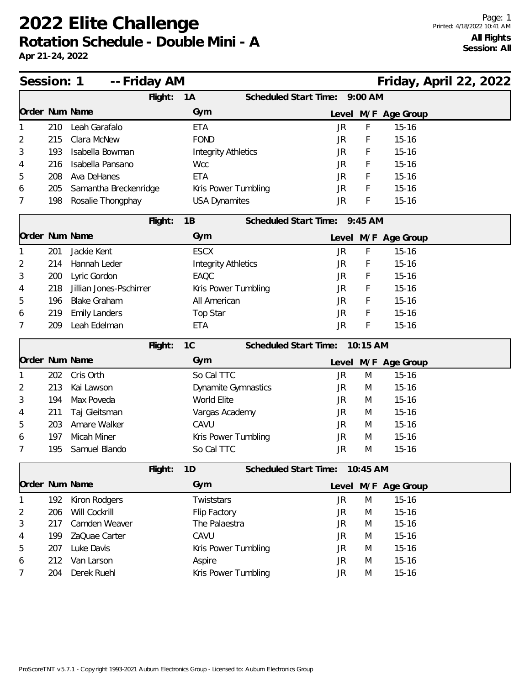| Session: 1     |     | -- Friday AM            |                            |  |                               |            | Friday, April 22, 2022 |  |  |
|----------------|-----|-------------------------|----------------------------|--|-------------------------------|------------|------------------------|--|--|
|                |     | Flight:                 | 1A                         |  | Scheduled Start Time:         | $9:00$ AM  |                        |  |  |
| Order Num Name |     |                         | Gym                        |  |                               |            | Level M/F Age Group    |  |  |
|                | 210 | Leah Garafalo           | <b>ETA</b>                 |  | <b>JR</b>                     | F          | $15 - 16$              |  |  |
| 2              | 215 | Clara McNew             | <b>FOND</b>                |  | JR                            | F          | $15 - 16$              |  |  |
| 3              | 193 | Isabella Bowman         | <b>Integrity Athletics</b> |  | JR                            | F          | $15 - 16$              |  |  |
| 4              | 216 | Isabella Pansano        | <b>Wcc</b>                 |  | JR                            | F          | $15 - 16$              |  |  |
| 5              | 208 | Ava DeHanes             | <b>ETA</b>                 |  |                               | F          | $15 - 16$              |  |  |
| 6              | 205 | Samantha Breckenridge   | Kris Power Tumbling        |  | <b>JR</b>                     | F          | $15 - 16$              |  |  |
| 7              | 198 | Rosalie Thongphay       | <b>USA Dynamites</b>       |  | <b>JR</b>                     | F          | $15 - 16$              |  |  |
|                |     | Flight:                 | 1B                         |  | Scheduled Start Time: 9:45 AM |            |                        |  |  |
| Order Num Name |     |                         | Gym                        |  |                               |            | Level M/F Age Group    |  |  |
|                | 201 | Jackie Kent             | <b>ESCX</b>                |  | JR                            | F          | $15 - 16$              |  |  |
| 2              | 214 | Hannah Leder            | <b>Integrity Athletics</b> |  | JR                            | F          | $15 - 16$              |  |  |
| 3              | 200 | Lyric Gordon            | EAQC                       |  | JR                            | F          | $15 - 16$              |  |  |
| 4              | 218 | Jillian Jones-Pschirrer | Kris Power Tumbling        |  | JR                            | F          | $15 - 16$              |  |  |
| 5              | 196 | <b>Blake Graham</b>     | All American               |  | JR                            | F          | $15 - 16$              |  |  |
| 6              | 219 | <b>Emily Landers</b>    | Top Star                   |  | <b>JR</b>                     | F          | $15 - 16$              |  |  |
| 7              | 209 | Leah Edelman            | <b>ETA</b>                 |  | <b>JR</b>                     | F          | $15 - 16$              |  |  |
|                |     | Flight:                 | 1C                         |  | Scheduled Start Time:         | $10:15$ AM |                        |  |  |
| Order Num Name |     |                         | Gym                        |  |                               |            | Level M/F Age Group    |  |  |
|                | 202 | Cris Orth               | So Cal TTC                 |  | <b>JR</b>                     | M          | $15 - 16$              |  |  |
| 2              | 213 | Kai Lawson              | <b>Dynamite Gymnastics</b> |  | JR                            | M          | $15 - 16$              |  |  |
| 3              | 194 | Max Poveda              | World Elite                |  | JR                            | M          | $15 - 16$              |  |  |
| 4              | 211 | Taj Gleitsman           | Vargas Academy             |  | JR                            | M          | $15 - 16$              |  |  |
| 5              | 203 | Amare Walker            | CAVU                       |  | JR                            | M          | $15 - 16$              |  |  |
| 6              | 197 | Micah Miner             | Kris Power Tumbling        |  | JR                            | M          | $15 - 16$              |  |  |
| 7              | 195 | Samuel Blando           | So Cal TTC                 |  | <b>JR</b>                     | M          | $15 - 16$              |  |  |
|                |     | Flight:                 | 1D                         |  | Scheduled Start Time:         | 10:45 AM   |                        |  |  |
| Order Num Name |     |                         | Gym                        |  |                               |            | Level M/F Age Group    |  |  |
|                | 192 | Kiron Rodgers           | Twiststars                 |  | <b>JR</b>                     | M          | $15 - 16$              |  |  |
| 2              | 206 | Will Cockrill           | Flip Factory               |  | JR                            | M          | $15 - 16$              |  |  |
| 3              | 217 | Camden Weaver           | The Palaestra              |  | JR                            | M          | $15 - 16$              |  |  |
| 4              | 199 | ZaQuae Carter           | CAVU                       |  | JR                            | M          | $15 - 16$              |  |  |
| 5              | 207 | Luke Davis              | Kris Power Tumbling        |  | JR                            | M          | $15 - 16$              |  |  |
| 6              | 212 | Van Larson              | Aspire                     |  | JR                            | M          | $15 - 16$              |  |  |
| 7              | 204 | Derek Ruehl             | Kris Power Tumbling        |  | JR                            | M          | $15 - 16$              |  |  |
|                |     |                         |                            |  |                               |            |                        |  |  |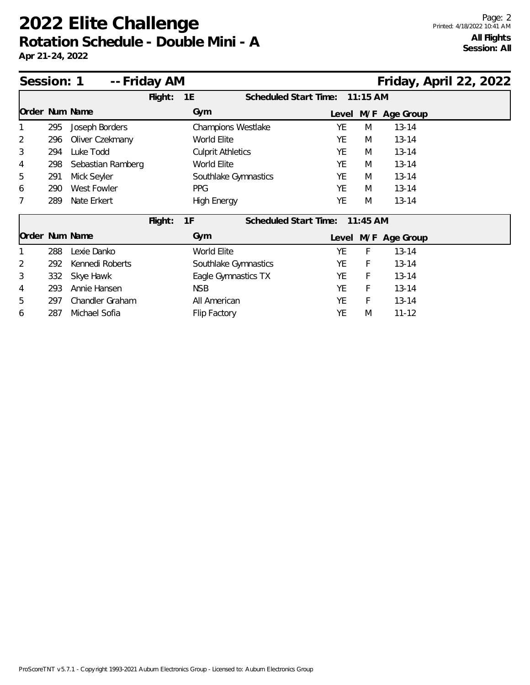| Session: 1     |     | -- Friday AM       |         |                           |                                |           |            | Friday, April 22, 2022 |  |  |
|----------------|-----|--------------------|---------|---------------------------|--------------------------------|-----------|------------|------------------------|--|--|
|                |     |                    | Flight: | 1E                        | Scheduled Start Time: 11:15 AM |           |            |                        |  |  |
| Order Num Name |     |                    |         | Gym                       |                                | Level     |            | M/F Age Group          |  |  |
|                | 295 | Joseph Borders     |         | <b>Champions Westlake</b> |                                | YE        | M          | $13 - 14$              |  |  |
| $\overline{2}$ | 296 | Oliver Czekmany    |         | World Elite               |                                | YE        | M          | $13 - 14$              |  |  |
| 3              | 294 | Luke Todd          |         | <b>Culprit Athletics</b>  |                                | YE        | M          | $13 - 14$              |  |  |
| 4              | 298 | Sebastian Ramberg  |         | World Elite               |                                | YF        | M          | $13 - 14$              |  |  |
| 5              | 291 | Mick Seyler        |         | Southlake Gymnastics      |                                | YE        | M          | $13 - 14$              |  |  |
| 6              | 290 | <b>West Fowler</b> |         | <b>PPG</b>                |                                | YF        | M          | $13 - 14$              |  |  |
| 7              | 289 | Nate Erkert        |         | <b>High Energy</b>        |                                | YE        | M          | $13 - 14$              |  |  |
|                |     |                    | Flight: | 1F                        | Scheduled Start Time:          |           | $11:45$ AM |                        |  |  |
| Order Num Name |     |                    |         | Gym                       |                                |           |            | Level M/F Age Group    |  |  |
|                | 288 | Lexie Danko        |         | World Elite               |                                | YE        | F          | $13 - 14$              |  |  |
| $\overline{2}$ | 292 | Kennedi Roberts    |         | Southlake Gymnastics      |                                | YE        | F          | $13 - 14$              |  |  |
| 3              | 332 | Skye Hawk          |         | Eagle Gymnastics TX       |                                | YE        | F          | $13 - 14$              |  |  |
| 4              | 293 | Annie Hansen       |         | <b>NSB</b>                |                                | <b>YE</b> | F          | $13 - 14$              |  |  |
| 5              | 297 | Chandler Graham    |         | All American              |                                | YE        | F          | $13 - 14$              |  |  |
| 6              | 287 | Michael Sofia      |         | Flip Factory              |                                | YE        | M          | $11 - 12$              |  |  |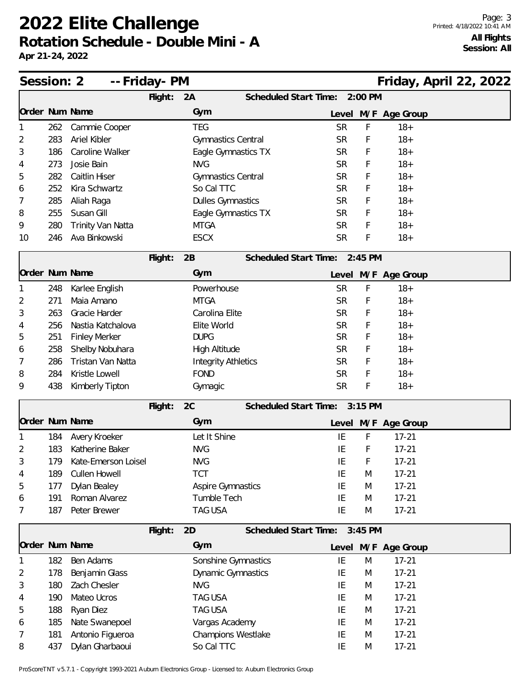**Apr 21-24, 2022**

| Session: 2     |     | -- Friday- PM        |         |                            |                               |           |           | Friday, April 22, 2022 |  |  |
|----------------|-----|----------------------|---------|----------------------------|-------------------------------|-----------|-----------|------------------------|--|--|
|                |     |                      | Flight: | 2A                         | Scheduled Start Time:         |           | $2:00$ PM |                        |  |  |
| Order Num Name |     |                      |         | Gym                        |                               |           |           | Level M/F Age Group    |  |  |
|                | 262 | Cammie Cooper        |         | <b>TEG</b>                 |                               | <b>SR</b> | F         | $18+$                  |  |  |
| 2              | 283 | Ariel Kibler         |         | Gymnastics Central         |                               | <b>SR</b> | F         | $18+$                  |  |  |
| 3              | 186 | Caroline Walker      |         | Eagle Gymnastics TX        |                               | <b>SR</b> | F         | $18 +$                 |  |  |
| 4              | 273 | Josie Bain           |         | <b>NVG</b>                 |                               | <b>SR</b> | F         | $18+$                  |  |  |
| 5              | 282 | Caitlin Hiser        |         | Gymnastics Central         |                               | <b>SR</b> | F         | $18+$                  |  |  |
| 6              | 252 | Kira Schwartz        |         | So Cal TTC                 |                               | <b>SR</b> | F         | $18 +$                 |  |  |
| 7              | 285 | Aliah Raga           |         | <b>Dulles Gymnastics</b>   |                               | <b>SR</b> | F         | $18+$                  |  |  |
| 8              | 255 | Susan Gill           |         | Eagle Gymnastics TX        |                               | <b>SR</b> | F         | $18+$                  |  |  |
| 9              | 280 | Trinity Van Natta    |         | <b>MTGA</b>                |                               | <b>SR</b> | F         | $18+$                  |  |  |
| 10             | 246 | Ava Binkowski        |         | <b>ESCX</b>                |                               | <b>SR</b> | F         | $18 +$                 |  |  |
|                |     |                      | Flight: | 2B                         | Scheduled Start Time: 2:45 PM |           |           |                        |  |  |
| Order Num Name |     |                      |         | Gym                        |                               |           |           | Level M/F Age Group    |  |  |
|                | 248 | Karlee English       |         | Powerhouse                 |                               | <b>SR</b> | F         | $18+$                  |  |  |
| 2              | 271 | Maia Amano           |         | <b>MTGA</b>                |                               | <b>SR</b> | F         | $18+$                  |  |  |
| 3              | 263 | Gracie Harder        |         | Carolina Elite             |                               | <b>SR</b> | F         | $18 +$                 |  |  |
| 4              | 256 | Nastia Katchalova    |         | Elite World                |                               | <b>SR</b> | F         | $18+$                  |  |  |
| 5              | 251 | <b>Finley Merker</b> |         | <b>DUPG</b>                |                               | <b>SR</b> | F         | $18+$                  |  |  |
| 6              | 258 | Shelby Nobuhara      |         | High Altitude              |                               | <b>SR</b> | F         | $18 +$                 |  |  |
| 7              | 286 | Tristan Van Natta    |         | <b>Integrity Athletics</b> |                               | <b>SR</b> | F         | $18+$                  |  |  |
| 8              | 284 | Kristle Lowell       |         | <b>FOND</b>                |                               | <b>SR</b> | F         | $18+$                  |  |  |
| 9              | 438 | Kimberly Tipton      |         | Gymagic                    |                               | <b>SR</b> | F         | $18+$                  |  |  |
|                |     |                      | Flight: | 2C                         | Scheduled Start Time: 3:15 PM |           |           |                        |  |  |
| Order Num Name |     |                      |         | Gym                        |                               |           |           | Level M/F Age Group    |  |  |
|                | 184 | Avery Kroeker        |         | Let It Shine               |                               | IE        | F         | $17 - 21$              |  |  |
| 2              | 183 | Katherine Baker      |         | <b>NVG</b>                 |                               | IE        | F         | $17 - 21$              |  |  |
| 3              | 179 | Kate-Emerson Loisel  |         | <b>NVG</b>                 |                               | IE        | F         | $17 - 21$              |  |  |
| 4              | 189 | Cullen Howell        |         | <b>TCT</b>                 |                               | ΙE        | M         | $17 - 21$              |  |  |
| 5              | 177 | Dylan Bealey         |         | <b>Aspire Gymnastics</b>   |                               | IE        | M         | $17 - 21$              |  |  |
| 6              | 191 | Roman Alvarez        |         | Tumble Tech                |                               | IE        | M         | $17 - 21$              |  |  |
| 7              | 187 | Peter Brewer         |         | <b>TAG USA</b>             |                               | IE        | M         | $17 - 21$              |  |  |
|                |     |                      | Flight: | 2D                         | Scheduled Start Time:         |           | $3:45$ PM |                        |  |  |
| Order Num Name |     |                      |         | Gym                        |                               | Level     |           | M/F Age Group          |  |  |
|                | 182 | Ben Adams            |         | Sonshine Gymnastics        |                               | IE        | M         | $17 - 21$              |  |  |
| 2              | 178 | Benjamin Glass       |         | <b>Dynamic Gymnastics</b>  |                               | IE        | M         | $17 - 21$              |  |  |
| 3              | 180 | Zach Chesler         |         | <b>NVG</b>                 |                               | IE        | M         | $17 - 21$              |  |  |
| 4              | 190 | Mateo Ucros          |         | <b>TAG USA</b>             |                               | IE        | M         | $17 - 21$              |  |  |
| 5              | 188 | Ryan Diez            |         | <b>TAG USA</b>             |                               | IE        | M         | $17 - 21$              |  |  |
| 6              | 185 | Nate Swanepoel       |         | Vargas Academy             |                               | IE        | M         | $17 - 21$              |  |  |
| 7              | 181 | Antonio Figueroa     |         | Champions Westlake         |                               | ΙE        | M         | $17 - 21$              |  |  |
| 8              | 437 | Dylan Gharbaoui      |         | So Cal TTC                 |                               | IE        | M         | $17 - 21$              |  |  |

ProScoreTNT v5.7.1 - Copyright 1993-2021 Auburn Electronics Group - Licensed to: Auburn Electronics Group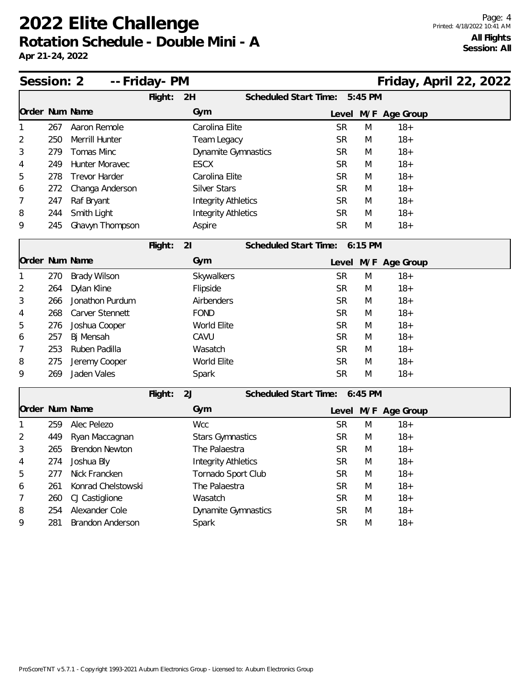| Session: 2 |     |                       | -- Friday- PM |                            |                               |   |                     | Friday, April 22, 2022 |  |
|------------|-----|-----------------------|---------------|----------------------------|-------------------------------|---|---------------------|------------------------|--|
|            |     |                       | 5:45 PM       |                            |                               |   |                     |                        |  |
|            |     | Order Num Name        |               | Gym                        |                               |   | Level M/F Age Group |                        |  |
|            | 267 | Aaron Remole          |               | Carolina Elite             | <b>SR</b>                     | M | $18+$               |                        |  |
| 2          | 250 | Merrill Hunter        |               | Team Legacy                | <b>SR</b>                     | M | $18+$               |                        |  |
| 3          | 279 | Tomas Minc            |               | <b>Dynamite Gymnastics</b> | <b>SR</b>                     | M | $18+$               |                        |  |
| 4          | 249 | Hunter Moravec        |               | <b>ESCX</b>                | <b>SR</b>                     | M | $18+$               |                        |  |
| 5          | 278 | <b>Trevor Harder</b>  |               | Carolina Elite             | <b>SR</b>                     | M | $18+$               |                        |  |
| 6          | 272 | Changa Anderson       |               | <b>Silver Stars</b>        | <b>SR</b>                     | M | $18+$               |                        |  |
| 7          | 247 | Raf Bryant            |               | <b>Integrity Athletics</b> | <b>SR</b>                     | M | $18+$               |                        |  |
| 8          | 244 | Smith Light           |               | <b>Integrity Athletics</b> | <b>SR</b>                     | M | $18+$               |                        |  |
| 9          | 245 | Ghavyn Thompson       |               | Aspire                     | <b>SR</b>                     | M | $18+$               |                        |  |
|            |     |                       | Flight:       | 21                         | Scheduled Start Time: 6:15 PM |   |                     |                        |  |
|            |     | Order Num Name        |               | Gym                        |                               |   | Level M/F Age Group |                        |  |
|            | 270 | <b>Brady Wilson</b>   |               | Skywalkers                 | <b>SR</b>                     | M | $18+$               |                        |  |
| 2          | 264 | Dylan Kline           |               | Flipside                   | <b>SR</b>                     | M | $18+$               |                        |  |
| 3          | 266 | Jonathon Purdum       |               | Airbenders                 | <b>SR</b>                     | M | $18+$               |                        |  |
| 4          | 268 | Carver Stennett       |               | <b>FOND</b>                | <b>SR</b>                     | M | $18+$               |                        |  |
| 5          | 276 | Joshua Cooper         |               | World Elite                | <b>SR</b>                     | M | $18+$               |                        |  |
| 6          | 257 | Bj Mensah             |               | CAVU                       | <b>SR</b>                     | M | $18+$               |                        |  |
| 7          | 253 | Ruben Padilla         |               | Wasatch                    | <b>SR</b>                     | M | $18+$               |                        |  |
| 8          | 275 | Jeremy Cooper         |               | World Elite                | <b>SR</b>                     | M | $18+$               |                        |  |
| 9          | 269 | Jaden Vales           |               | Spark                      | <b>SR</b>                     | M | $18+$               |                        |  |
|            |     |                       | Flight:       | 2J                         | Scheduled Start Time: 6:45 PM |   |                     |                        |  |
|            |     | Order Num Name        |               | Gym                        |                               |   | Level M/F Age Group |                        |  |
|            | 259 | Alec Pelezo           |               | <b>Wcc</b>                 | <b>SR</b>                     | M | $18+$               |                        |  |
| 2          | 449 | Ryan Maccagnan        |               | <b>Stars Gymnastics</b>    | <b>SR</b>                     | M | $18+$               |                        |  |
| 3          | 265 | <b>Brendon Newton</b> |               | The Palaestra              | <b>SR</b>                     | M | $18+$               |                        |  |
| 4          | 274 | Joshua Bly            |               | <b>Integrity Athletics</b> | <b>SR</b>                     | M | $18+$               |                        |  |
| 5          | 277 | Nick Francken         |               | Tornado Sport Club         | <b>SR</b>                     | M | $18+$               |                        |  |
| 6          | 261 | Konrad Chelstowski    |               | The Palaestra              | <b>SR</b>                     | M | $18 +$              |                        |  |
| 7          | 260 | CJ Castiglione        |               | Wasatch                    | <b>SR</b>                     | M | $18 +$              |                        |  |
| 8          | 254 | Alexander Cole        |               | <b>Dynamite Gymnastics</b> | <b>SR</b>                     | M | $18 +$              |                        |  |
| 9          | 281 | Brandon Anderson      |               | Spark                      | <b>SR</b>                     | M | $18 +$              |                        |  |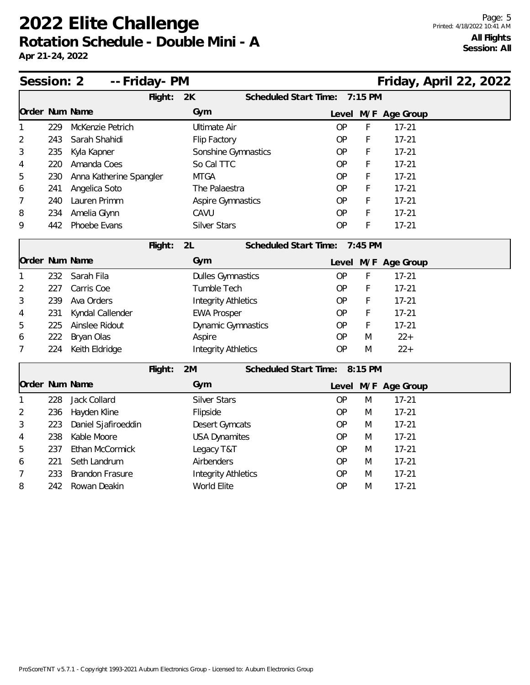| Session: 2     |     | -- Friday- PM           |         |                            |                               |           |         |                     | Friday, April 22, 2022 |  |
|----------------|-----|-------------------------|---------|----------------------------|-------------------------------|-----------|---------|---------------------|------------------------|--|
|                |     |                         | Flight: | 2K                         | Scheduled Start Time:         |           | 7:15 PM |                     |                        |  |
| Order Num Name |     |                         |         | Gym                        |                               |           |         | Level M/F Age Group |                        |  |
| 1              | 229 | McKenzie Petrich        |         | <b>Ultimate Air</b>        |                               | <b>OP</b> | F       | $17 - 21$           |                        |  |
| 2              | 243 | Sarah Shahidi           |         | Flip Factory               |                               | <b>OP</b> | F       | $17 - 21$           |                        |  |
| 3              | 235 | Kyla Kapner             |         | Sonshine Gymnastics        |                               | <b>OP</b> | F       | $17 - 21$           |                        |  |
| 4              | 220 | Amanda Coes             |         | So Cal TTC                 |                               | <b>OP</b> | F       | $17 - 21$           |                        |  |
| 5              | 230 | Anna Katherine Spangler |         | <b>MTGA</b>                |                               | <b>OP</b> | F       | $17 - 21$           |                        |  |
| 6              | 241 | Angelica Soto           |         | The Palaestra              |                               | <b>OP</b> | F       | $17 - 21$           |                        |  |
| 7              | 240 | Lauren Primm            |         | Aspire Gymnastics          |                               | <b>OP</b> | F       | $17 - 21$           |                        |  |
| 8              | 234 | Amelia Glynn            |         | CAVU                       |                               | <b>OP</b> | F       | $17 - 21$           |                        |  |
| 9              | 442 | Phoebe Evans            |         | <b>Silver Stars</b>        |                               | <b>OP</b> | F       | $17 - 21$           |                        |  |
|                |     |                         | Flight: | 2L                         | Scheduled Start Time:         |           | 7:45 PM |                     |                        |  |
| Order Num Name |     |                         |         | Gym                        |                               |           |         | Level M/F Age Group |                        |  |
| 1              | 232 | Sarah Fila              |         | <b>Dulles Gymnastics</b>   |                               | <b>OP</b> | F       | $17 - 21$           |                        |  |
| 2              | 227 | Carris Coe              |         | Tumble Tech                |                               | <b>OP</b> | F       | $17 - 21$           |                        |  |
| 3              | 239 | Ava Orders              |         |                            | <b>Integrity Athletics</b>    |           |         | $17 - 21$           |                        |  |
| 4              | 231 | Kyndal Callender        |         | <b>EWA Prosper</b>         |                               | <b>OP</b> | F       | $17 - 21$           |                        |  |
| 5              | 225 | Ainslee Ridout          |         | <b>Dynamic Gymnastics</b>  |                               | <b>OP</b> | F       | $17 - 21$           |                        |  |
| 6              | 222 | Bryan Olas              |         | Aspire                     |                               | <b>OP</b> | M       | $22 +$              |                        |  |
| 7              | 224 | Keith Eldridge          |         | <b>Integrity Athletics</b> |                               | <b>OP</b> | M       | $22+$               |                        |  |
|                |     |                         | Flight: | 2M                         | Scheduled Start Time: 8:15 PM |           |         |                     |                        |  |
| Order Num Name |     |                         |         | Gym                        |                               |           |         | Level M/F Age Group |                        |  |
| 1              | 228 | Jack Collard            |         | <b>Silver Stars</b>        |                               | <b>OP</b> | M       | $17 - 21$           |                        |  |
| 2              | 236 | Hayden Kline            |         | Flipside                   |                               | <b>OP</b> | M       | $17 - 21$           |                        |  |
| 3              | 223 | Daniel Sjafiroeddin     |         | <b>Desert Gymcats</b>      |                               | <b>OP</b> | M       | $17 - 21$           |                        |  |
| 4              | 238 | Kable Moore             |         | <b>USA Dynamites</b>       |                               | <b>OP</b> | M       | $17 - 21$           |                        |  |
| 5              | 237 | Ethan McCormick         |         | Legacy T&T                 |                               | <b>OP</b> | M       | $17 - 21$           |                        |  |
| 6              | 221 | Seth Landrum            |         | Airbenders                 |                               | <b>OP</b> | M       | $17 - 21$           |                        |  |
| 7              | 233 | <b>Brandon Frasure</b>  |         | <b>Integrity Athletics</b> |                               | <b>OP</b> | M       | $17 - 21$           |                        |  |
| 8              | 242 | Rowan Deakin            |         | World Elite                |                               | <b>OP</b> | M       | $17 - 21$           |                        |  |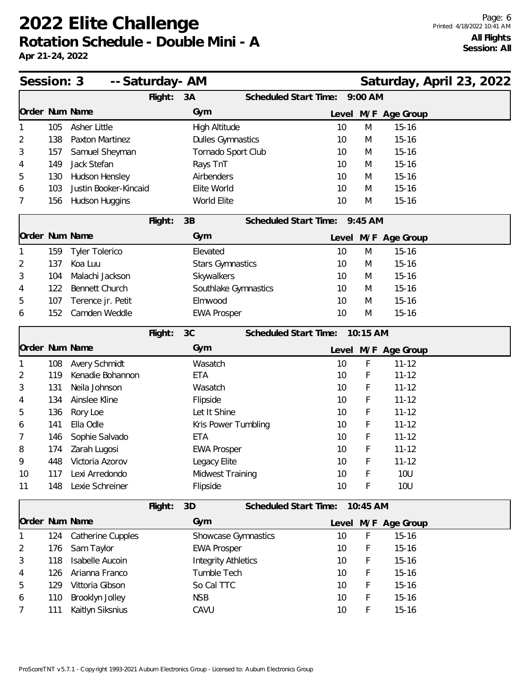| Session: 3     |     | -- Saturday- AM        |         |                            |                            |                                |                 |           | Saturday, April 23, 2022 |  |  |
|----------------|-----|------------------------|---------|----------------------------|----------------------------|--------------------------------|-----------------|-----------|--------------------------|--|--|
|                |     |                        | Flight: | 3A                         |                            | Scheduled Start Time:          |                 | $9:00$ AM |                          |  |  |
| Order Num Name |     |                        |         | Gym                        |                            |                                |                 |           | Level M/F Age Group      |  |  |
|                | 105 | Asher Little           |         | High Altitude              |                            |                                | 10              | M         | $15 - 16$                |  |  |
| 2              | 138 | Paxton Martinez        |         | <b>Dulles Gymnastics</b>   |                            |                                | 10              | M         | $15 - 16$                |  |  |
| 3              | 157 | Samuel Sheyman         |         | Tornado Sport Club         |                            |                                | 10              | M         | $15 - 16$                |  |  |
| 4              | 149 | Jack Stefan            |         | Rays TnT                   |                            |                                | 10              | M         | $15 - 16$                |  |  |
| 5              | 130 | Hudson Hensley         |         | Airbenders                 |                            |                                | 10              | M         | $15 - 16$                |  |  |
| 6              | 103 | Justin Booker-Kincaid  |         | Elite World                |                            |                                | 10              | M         | $15 - 16$                |  |  |
| 7              | 156 | Hudson Huggins         |         | World Elite                |                            |                                | 10              | M         | $15 - 16$                |  |  |
|                |     |                        | Flight: | 3B                         |                            | Scheduled Start Time: 9:45 AM  |                 |           |                          |  |  |
| Order Num Name |     |                        |         | Gym                        |                            |                                |                 |           | Level M/F Age Group      |  |  |
|                | 159 | <b>Tyler Tolerico</b>  |         | Elevated                   |                            |                                | 10              | M         | $15 - 16$                |  |  |
| 2              | 137 | Koa Luu                |         | <b>Stars Gymnastics</b>    |                            |                                | 10              | M         | $15 - 16$                |  |  |
| 3              | 104 | Malachi Jackson        |         | Skywalkers                 |                            |                                | 10              | M         | $15 - 16$                |  |  |
| 4              | 122 | <b>Bennett Church</b>  |         |                            | Southlake Gymnastics       |                                | 10              | M         | $15 - 16$                |  |  |
| 5              | 107 | Terence jr. Petit      |         | Elmwood                    |                            |                                | 10              | M         | $15 - 16$                |  |  |
| 6              | 152 | Camden Weddle          |         | <b>EWA Prosper</b>         |                            |                                | 10              | M         | $15 - 16$                |  |  |
|                |     |                        | Flight: | 3C                         |                            | Scheduled Start Time:          |                 | 10:15 AM  |                          |  |  |
| Order Num Name |     |                        |         | Gym                        |                            |                                |                 |           | Level M/F Age Group      |  |  |
|                | 108 | Avery Schmidt          |         | Wasatch                    |                            |                                | 10              | F         | $11 - 12$                |  |  |
| 2              | 119 | Kenadie Bohannon       |         | <b>ETA</b>                 |                            |                                | 10              | F         | $11 - 12$                |  |  |
| 3              | 131 | Neila Johnson          |         | Wasatch                    |                            |                                | 10              | F         | $11 - 12$                |  |  |
| 4              | 134 | Ainslee Kline          |         | Flipside                   |                            |                                | 10              | F         | $11 - 12$                |  |  |
| 5              | 136 | Rory Loe               |         | Let It Shine               |                            |                                | 10              | F         | $11 - 12$                |  |  |
| 6              | 141 | Ella Odle              |         | Kris Power Tumbling        |                            |                                | 10              | F         | $11 - 12$                |  |  |
| 7              | 146 | Sophie Salvado         |         | <b>ETA</b>                 |                            |                                | 10              | F         | $11 - 12$                |  |  |
| 8              | 174 | Zarah Lugosi           |         | <b>EWA Prosper</b>         |                            |                                | 10              | F         | $11 - 12$                |  |  |
| 9              | 448 | Victoria Azorov        |         | Legacy Elite               |                            |                                | 10 <sup>°</sup> | F         | $11 - 12$                |  |  |
| 10             | 117 | Lexi Arredondo         |         | Midwest Training           |                            |                                | 10              | F         | <b>10U</b>               |  |  |
| 11             | 148 | Lexie Schreiner        |         | Flipside                   |                            |                                | 10              | F         | <b>10U</b>               |  |  |
|                |     |                        | Flight: | 3D                         |                            | Scheduled Start Time: 10:45 AM |                 |           |                          |  |  |
| Order Num Name |     |                        |         | Gym                        |                            |                                |                 |           | Level M/F Age Group      |  |  |
|                | 124 | Catherine Cupples      |         |                            | <b>Showcase Gymnastics</b> |                                | 10              | F         | $15 - 16$                |  |  |
| 2              | 176 | Sam Taylor             |         | <b>EWA Prosper</b>         |                            |                                | 10              | F         | $15 - 16$                |  |  |
| 3              | 118 | <b>Isabelle Aucoin</b> |         | <b>Integrity Athletics</b> |                            |                                | 10              | F         | $15 - 16$                |  |  |
| 4              | 126 | Arianna Franco         |         | Tumble Tech                |                            |                                | 10              | F         | $15 - 16$                |  |  |
| 5              | 129 | Vittoria Gibson        |         | So Cal TTC                 |                            |                                | 10              | F         | $15 - 16$                |  |  |
| 6              | 110 | Brooklyn Jolley        |         | <b>NSB</b>                 |                            |                                | 10              | F         | $15 - 16$                |  |  |
| 7              | 111 | Kaitlyn Siksnius       |         | CAVU                       |                            |                                | 10              | F         | $15 - 16$                |  |  |
|                |     |                        |         |                            |                            |                                |                 |           |                          |  |  |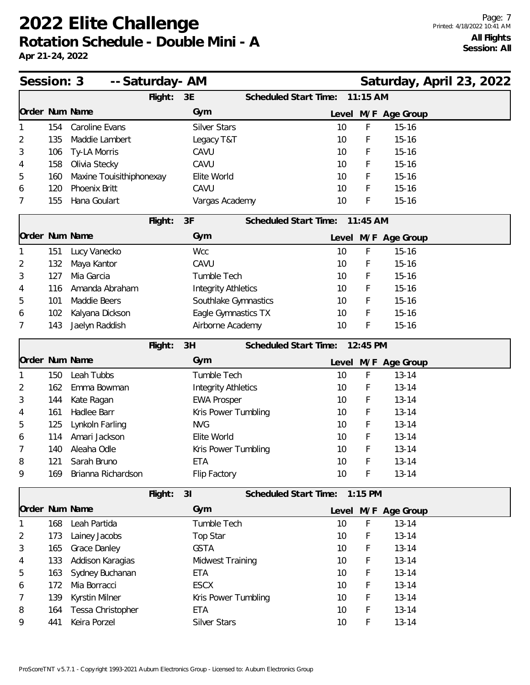| Session: 3     |     | -- Saturday- AM          |         |                            | Saturday, April 23, 2022       |            |                     |  |  |
|----------------|-----|--------------------------|---------|----------------------------|--------------------------------|------------|---------------------|--|--|
|                |     |                          | Flight: | 3E                         | Scheduled Start Time:          | $11:15$ AM |                     |  |  |
| Order Num Name |     |                          |         | Gym                        |                                |            | Level M/F Age Group |  |  |
|                | 154 | Caroline Evans           |         | <b>Silver Stars</b>        | 10                             | F          | $15 - 16$           |  |  |
| 2              | 135 | Maddie Lambert           |         | Legacy T&T                 | 10                             | F          | $15 - 16$           |  |  |
| 3              | 106 | Ty-LA Morris             |         | CAVU                       | 10                             | F          | $15 - 16$           |  |  |
| 4              | 158 | Olivia Stecky            |         | CAVU                       | 10                             | F          | $15 - 16$           |  |  |
| 5              | 160 | Maxine Touisithiphonexay |         | Elite World                | 10                             | F          | $15 - 16$           |  |  |
| 6              | 120 | Phoenix Britt            |         | CAVU                       | 10                             | F          | $15 - 16$           |  |  |
| 7              | 155 | Hana Goulart             |         | Vargas Academy             | 10                             | F          | $15 - 16$           |  |  |
|                |     |                          | Flight: | 3F                         | <b>Scheduled Start Time:</b>   | 11:45 AM   |                     |  |  |
| Order Num Name |     |                          |         | Gym                        |                                |            | Level M/F Age Group |  |  |
|                | 151 | Lucy Vanecko             |         | Wcc                        | 10                             | F          | $15 - 16$           |  |  |
| 2              | 132 | Maya Kantor              |         | CAVU                       | 10                             | F          | $15 - 16$           |  |  |
| 3              | 127 | Mia Garcia               |         | Tumble Tech                | 10                             | F          | $15 - 16$           |  |  |
| 4              | 116 | Amanda Abraham           |         | <b>Integrity Athletics</b> | 10                             | F          | $15 - 16$           |  |  |
| 5              | 101 | Maddie Beers             |         | Southlake Gymnastics       | 10                             | F          | $15 - 16$           |  |  |
| 6              | 102 | Kalyana Dickson          |         | Eagle Gymnastics TX        | 10                             | F          | $15 - 16$           |  |  |
| 7              | 143 | Jaelyn Raddish           |         | Airborne Academy           | 10                             | F          | $15 - 16$           |  |  |
|                |     |                          | Flight: | 3H                         | Scheduled Start Time: 12:45 PM |            |                     |  |  |
| Order Num Name |     |                          |         | Gym                        |                                |            | Level M/F Age Group |  |  |
|                | 150 | Leah Tubbs               |         | Tumble Tech                | 10                             | F          | $13 - 14$           |  |  |
| 2              | 162 | Emma Bowman              |         | <b>Integrity Athletics</b> | 10                             | F          | $13 - 14$           |  |  |
| 3              | 144 | Kate Ragan               |         | <b>EWA Prosper</b>         | 10                             | F          | $13 - 14$           |  |  |
| 4              | 161 | Hadlee Barr              |         | Kris Power Tumbling        | 10                             | F          | $13 - 14$           |  |  |
| 5              | 125 | Lynkoln Farling          |         | <b>NVG</b>                 | 10                             | F          | $13 - 14$           |  |  |
| 6              | 114 | Amari Jackson            |         | Elite World                | 10                             | F          | $13 - 14$           |  |  |
| 7              | 140 | Aleaha Odle              |         | Kris Power Tumbling        | 10                             | F          | $13 - 14$           |  |  |
| 8              | 121 | Sarah Bruno              |         | ETA                        | 10                             | F          | $13 - 14$           |  |  |
| 9              | 169 | Brianna Richardson       |         | Flip Factory               | 10                             | F          | $13 - 14$           |  |  |
|                |     |                          | Flight: | 31                         | Scheduled Start Time: 1:15 PM  |            |                     |  |  |
| Order Num Name |     |                          |         | Gym                        |                                |            | Level M/F Age Group |  |  |
|                | 168 | Leah Partida             |         | Tumble Tech                | 10                             | F          | $13 - 14$           |  |  |
| 2              | 173 | Lainey Jacobs            |         | Top Star                   | 10                             | F          | $13 - 14$           |  |  |
| 3              | 165 | Grace Danley             |         | <b>GSTA</b>                | 10                             | F          | $13 - 14$           |  |  |
| 4              | 133 | Addison Karagias         |         | <b>Midwest Training</b>    | 10                             | F          | $13 - 14$           |  |  |
| 5              | 163 | Sydney Buchanan          |         | <b>ETA</b>                 | 10                             | F          | $13 - 14$           |  |  |
| 6              | 172 | Mia Borracci             |         | <b>ESCX</b>                | 10                             | F          | $13 - 14$           |  |  |
| 7              | 139 | Kyrstin Milner           |         | Kris Power Tumbling        | 10                             | F          | $13 - 14$           |  |  |
| 8              | 164 | Tessa Christopher        |         | <b>ETA</b>                 | 10                             | F          | $13 - 14$           |  |  |
| 9              | 441 | Keira Porzel             |         | <b>Silver Stars</b>        | 10                             | F          | $13 - 14$           |  |  |
|                |     |                          |         |                            |                                |            |                     |  |  |